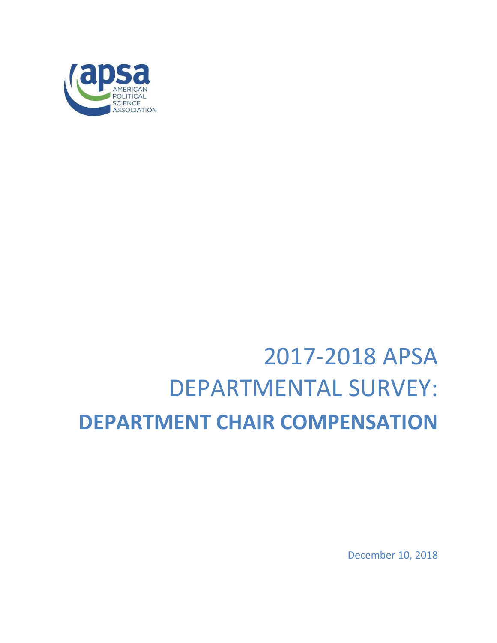

# 2017-2018 APSA DEPARTMENTAL SURVEY: **DEPARTMENT CHAIR COMPENSATION**

December 10, 2018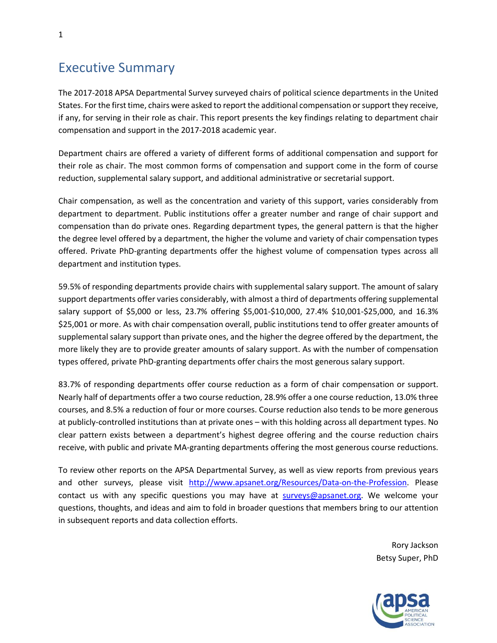## Executive Summary

The 2017-2018 APSA Departmental Survey surveyed chairs of political science departments in the United States. For the first time, chairs were asked to report the additional compensation or support they receive, if any, for serving in their role as chair. This report presents the key findings relating to department chair compensation and support in the 2017-2018 academic year.

Department chairs are offered a variety of different forms of additional compensation and support for their role as chair. The most common forms of compensation and support come in the form of course reduction, supplemental salary support, and additional administrative or secretarial support.

Chair compensation, as well as the concentration and variety of this support, varies considerably from department to department. Public institutions offer a greater number and range of chair support and compensation than do private ones. Regarding department types, the general pattern is that the higher the degree level offered by a department, the higher the volume and variety of chair compensation types offered. Private PhD-granting departments offer the highest volume of compensation types across all department and institution types.

59.5% of responding departments provide chairs with supplemental salary support. The amount of salary support departments offer varies considerably, with almost a third of departments offering supplemental salary support of \$5,000 or less, 23.7% offering \$5,001-\$10,000, 27.4% \$10,001-\$25,000, and 16.3% \$25,001 or more. As with chair compensation overall, public institutions tend to offer greater amounts of supplemental salary support than private ones, and the higher the degree offered by the department, the more likely they are to provide greater amounts of salary support. As with the number of compensation types offered, private PhD-granting departments offer chairs the most generous salary support.

83.7% of responding departments offer course reduction as a form of chair compensation or support. Nearly half of departments offer a two course reduction, 28.9% offer a one course reduction, 13.0% three courses, and 8.5% a reduction of four or more courses. Course reduction also tends to be more generous at publicly-controlled institutions than at private ones – with this holding across all department types. No clear pattern exists between a department's highest degree offering and the course reduction chairs receive, with public and private MA-granting departments offering the most generous course reductions.

To review other reports on the APSA Departmental Survey, as well as view reports from previous years and other surveys, please visit [http://www.apsanet.org/Resources/Data-on-the-Profession.](http://www.apsanet.org/Resources/Data-on-the-Profession) Please contact us with any specific questions you may have at [surveys@apsanet.org.](mailto:surveys@apsanet.org) We welcome your questions, thoughts, and ideas and aim to fold in broader questions that members bring to our attention in subsequent reports and data collection efforts.

> Rory Jackson Betsy Super, PhD

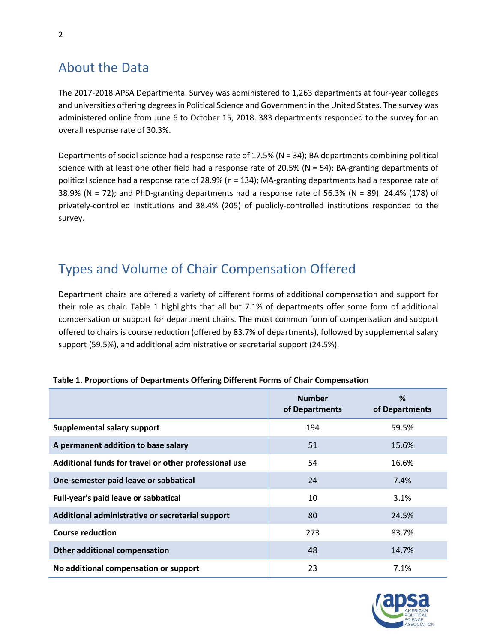# About the Data

The 2017-2018 APSA Departmental Survey was administered to 1,263 departments at four-year colleges and universities offering degrees in Political Science and Government in the United States. The survey was administered online from June 6 to October 15, 2018. 383 departments responded to the survey for an overall response rate of 30.3%.

Departments of social science had a response rate of 17.5% (N = 34); BA departments combining political science with at least one other field had a response rate of 20.5% (N = 54); BA-granting departments of political science had a response rate of 28.9% (n = 134); MA-granting departments had a response rate of 38.9% (N = 72); and PhD-granting departments had a response rate of 56.3% (N = 89). 24.4% (178) of privately-controlled institutions and 38.4% (205) of publicly-controlled institutions responded to the survey.

# Types and Volume of Chair Compensation Offered

Department chairs are offered a variety of different forms of additional compensation and support for their role as chair. Table 1 highlights that all but 7.1% of departments offer some form of additional compensation or support for department chairs. The most common form of compensation and support offered to chairs is course reduction (offered by 83.7% of departments), followed by supplemental salary support (59.5%), and additional administrative or secretarial support (24.5%).

|                                                       | <b>Number</b><br>of Departments | %<br>of Departments |
|-------------------------------------------------------|---------------------------------|---------------------|
| Supplemental salary support                           | 194                             | 59.5%               |
| A permanent addition to base salary                   | 51                              | 15.6%               |
| Additional funds for travel or other professional use | 54                              | 16.6%               |
| One-semester paid leave or sabbatical                 | 24                              | 7.4%                |
| Full-year's paid leave or sabbatical                  | 10                              | 3.1%                |
| Additional administrative or secretarial support      | 80                              | 24.5%               |
| <b>Course reduction</b>                               | 273                             | 83.7%               |
| Other additional compensation                         | 48                              | 14.7%               |
| No additional compensation or support                 | 23                              | 7.1%                |

## **Table 1. Proportions of Departments Offering Different Forms of Chair Compensation**

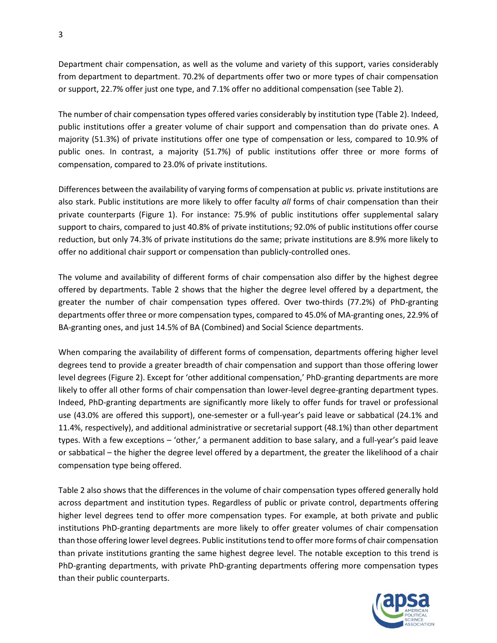Department chair compensation, as well as the volume and variety of this support, varies considerably from department to department. 70.2% of departments offer two or more types of chair compensation or support, 22.7% offer just one type, and 7.1% offer no additional compensation (see Table 2).

The number of chair compensation types offered varies considerably by institution type (Table 2). Indeed, public institutions offer a greater volume of chair support and compensation than do private ones. A majority (51.3%) of private institutions offer one type of compensation or less, compared to 10.9% of public ones. In contrast, a majority (51.7%) of public institutions offer three or more forms of compensation, compared to 23.0% of private institutions.

Differences between the availability of varying forms of compensation at public *vs.* private institutions are also stark. Public institutions are more likely to offer faculty *all* forms of chair compensation than their private counterparts (Figure 1). For instance: 75.9% of public institutions offer supplemental salary support to chairs, compared to just 40.8% of private institutions; 92.0% of public institutions offer course reduction, but only 74.3% of private institutions do the same; private institutions are 8.9% more likely to offer no additional chair support or compensation than publicly-controlled ones.

The volume and availability of different forms of chair compensation also differ by the highest degree offered by departments. Table 2 shows that the higher the degree level offered by a department, the greater the number of chair compensation types offered. Over two-thirds (77.2%) of PhD-granting departments offer three or more compensation types, compared to 45.0% of MA-granting ones, 22.9% of BA-granting ones, and just 14.5% of BA (Combined) and Social Science departments.

When comparing the availability of different forms of compensation, departments offering higher level degrees tend to provide a greater breadth of chair compensation and support than those offering lower level degrees (Figure 2). Except for 'other additional compensation,' PhD-granting departments are more likely to offer all other forms of chair compensation than lower-level degree-granting department types. Indeed, PhD-granting departments are significantly more likely to offer funds for travel or professional use (43.0% are offered this support), one-semester or a full-year's paid leave or sabbatical (24.1% and 11.4%, respectively), and additional administrative or secretarial support (48.1%) than other department types. With a few exceptions – 'other,' a permanent addition to base salary, and a full-year's paid leave or sabbatical – the higher the degree level offered by a department, the greater the likelihood of a chair compensation type being offered.

Table 2 also shows that the differences in the volume of chair compensation types offered generally hold across department and institution types. Regardless of public or private control, departments offering higher level degrees tend to offer more compensation types. For example, at both private and public institutions PhD-granting departments are more likely to offer greater volumes of chair compensation than those offering lower level degrees. Public institutions tend to offer more forms of chair compensation than private institutions granting the same highest degree level. The notable exception to this trend is PhD-granting departments, with private PhD-granting departments offering more compensation types than their public counterparts.

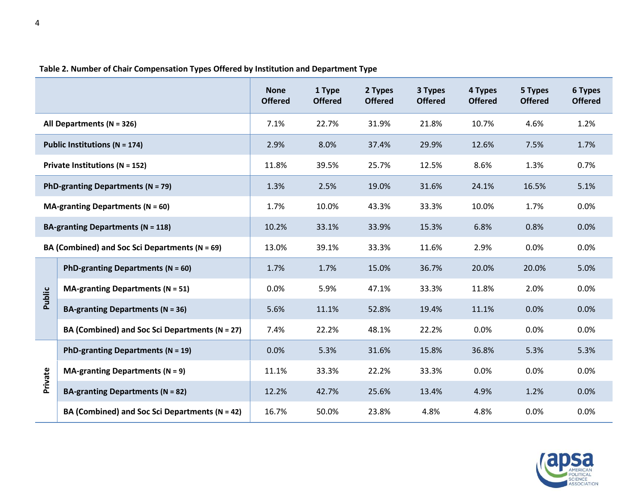|                                                    |                                                    | <b>None</b><br><b>Offered</b> | 1 Type<br><b>Offered</b> | 2 Types<br><b>Offered</b> | 3 Types<br><b>Offered</b> | 4 Types<br><b>Offered</b> | 5 Types<br><b>Offered</b> | 6 Types<br><b>Offered</b> |
|----------------------------------------------------|----------------------------------------------------|-------------------------------|--------------------------|---------------------------|---------------------------|---------------------------|---------------------------|---------------------------|
| All Departments ( $N = 326$ )                      |                                                    | 7.1%                          | 22.7%                    | 31.9%                     | 21.8%                     | 10.7%                     | 4.6%                      | 1.2%                      |
| Public Institutions ( $N = 174$ )                  |                                                    | 2.9%                          | 8.0%                     | 37.4%                     | 29.9%                     | 12.6%                     | 7.5%                      | 1.7%                      |
| Private Institutions (N = 152)                     |                                                    | 11.8%                         | 39.5%                    | 25.7%                     | 12.5%                     | 8.6%                      | 1.3%                      | 0.7%                      |
| PhD-granting Departments ( $N = 79$ )              |                                                    | 1.3%                          | 2.5%                     | 19.0%                     | 31.6%                     | 24.1%                     | 16.5%                     | 5.1%                      |
| MA-granting Departments ( $N = 60$ )               |                                                    | 1.7%                          | 10.0%                    | 43.3%                     | 33.3%                     | 10.0%                     | 1.7%                      | 0.0%                      |
| <b>BA-granting Departments (N = 118)</b>           |                                                    | 10.2%                         | 33.1%                    | 33.9%                     | 15.3%                     | 6.8%                      | 0.8%                      | 0.0%                      |
| BA (Combined) and Soc Sci Departments ( $N = 69$ ) |                                                    | 13.0%                         | 39.1%                    | 33.3%                     | 11.6%                     | 2.9%                      | 0.0%                      | 0.0%                      |
|                                                    | PhD-granting Departments ( $N = 60$ )              | 1.7%                          | 1.7%                     | 15.0%                     | 36.7%                     | 20.0%                     | 20.0%                     | 5.0%                      |
| Public                                             | <b>MA-granting Departments (N = 51)</b>            | 0.0%                          | 5.9%                     | 47.1%                     | 33.3%                     | 11.8%                     | 2.0%                      | 0.0%                      |
|                                                    | <b>BA-granting Departments (N = 36)</b>            | 5.6%                          | 11.1%                    | 52.8%                     | 19.4%                     | 11.1%                     | 0.0%                      | 0.0%                      |
|                                                    | BA (Combined) and Soc Sci Departments (N = 27)     | 7.4%                          | 22.2%                    | 48.1%                     | 22.2%                     | 0.0%                      | 0.0%                      | 0.0%                      |
| Private                                            | PhD-granting Departments ( $N = 19$ )              | 0.0%                          | 5.3%                     | 31.6%                     | 15.8%                     | 36.8%                     | 5.3%                      | 5.3%                      |
|                                                    | MA-granting Departments ( $N = 9$ )                | 11.1%                         | 33.3%                    | 22.2%                     | 33.3%                     | 0.0%                      | 0.0%                      | 0.0%                      |
|                                                    | BA-granting Departments ( $N = 82$ )               | 12.2%                         | 42.7%                    | 25.6%                     | 13.4%                     | 4.9%                      | 1.2%                      | 0.0%                      |
|                                                    | BA (Combined) and Soc Sci Departments ( $N = 42$ ) | 16.7%                         | 50.0%                    | 23.8%                     | 4.8%                      | 4.8%                      | 0.0%                      | 0.0%                      |

## **Table 2. Number of Chair Compensation Types Offered by Institution and Department Type**

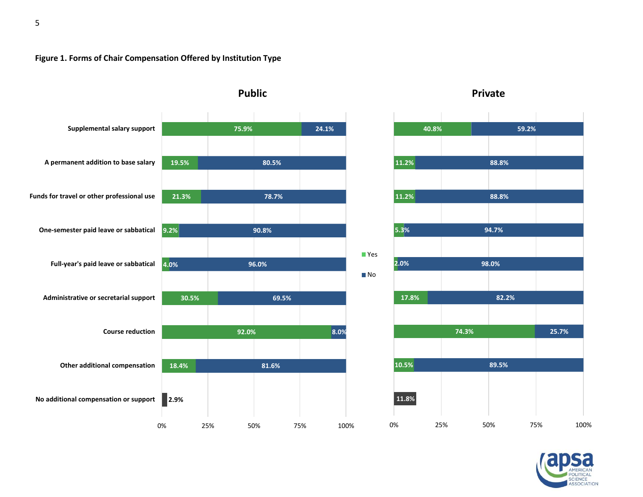#### **Figure 1. Forms of Chair Compensation Offered by Institution Type**



**Private**



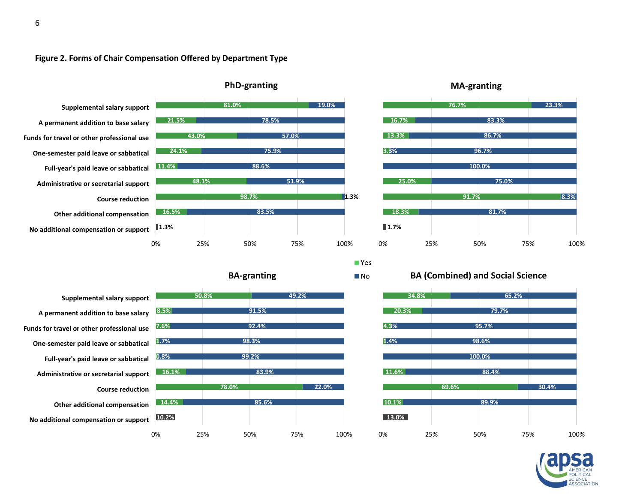



**Other additional compensation Course reduction Administrative or secretarial support Full-year's paid leave or sabbatical One-semester paid leave or sabbatical Funds for travel or other professional use A permanent addition to base salary Supplemental salary support**

**No additional compensation or support**

![](_page_6_Figure_4.jpeg)

**MA-granting**

### **BA (Combined) and Social Science**

 $\blacksquare$  Yes  $\blacksquare$  No

![](_page_6_Figure_7.jpeg)

![](_page_6_Picture_8.jpeg)

![](_page_6_Figure_9.jpeg)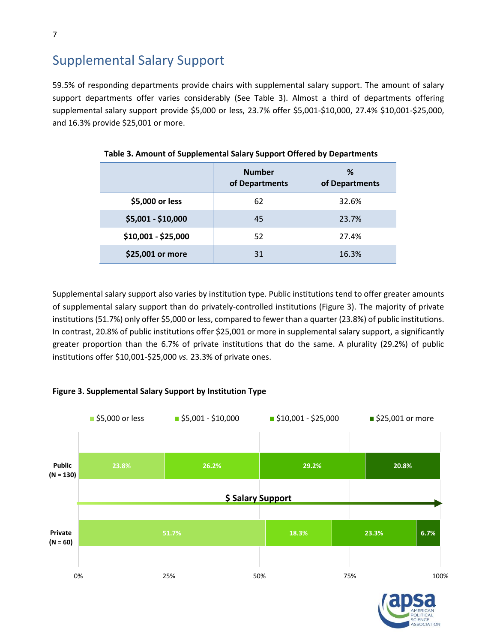# Supplemental Salary Support

59.5% of responding departments provide chairs with supplemental salary support. The amount of salary support departments offer varies considerably (See Table 3). Almost a third of departments offering supplemental salary support provide \$5,000 or less, 23.7% offer \$5,001-\$10,000, 27.4% \$10,001-\$25,000, and 16.3% provide \$25,001 or more.

|                     | <b>Number</b><br>of Departments | %<br>of Departments |
|---------------------|---------------------------------|---------------------|
| \$5,000 or less     | 62                              | 32.6%               |
| \$5,001 - \$10,000  | 45                              | 23.7%               |
| \$10,001 - \$25,000 | 52                              | 27.4%               |
| \$25,001 or more    | 31                              | 16.3%               |

#### **Table 3. Amount of Supplemental Salary Support Offered by Departments**

Supplemental salary support also varies by institution type. Public institutions tend to offer greater amounts of supplemental salary support than do privately-controlled institutions (Figure 3). The majority of private institutions (51.7%) only offer \$5,000 or less, compared to fewer than a quarter (23.8%) of public institutions. In contrast, 20.8% of public institutions offer \$25,001 or more in supplemental salary support, a significantly greater proportion than the 6.7% of private institutions that do the same. A plurality (29.2%) of public institutions offer \$10,001-\$25,000 *vs.* 23.3% of private ones.

#### **Figure 3. Supplemental Salary Support by Institution Type**

![](_page_7_Figure_6.jpeg)

![](_page_7_Picture_7.jpeg)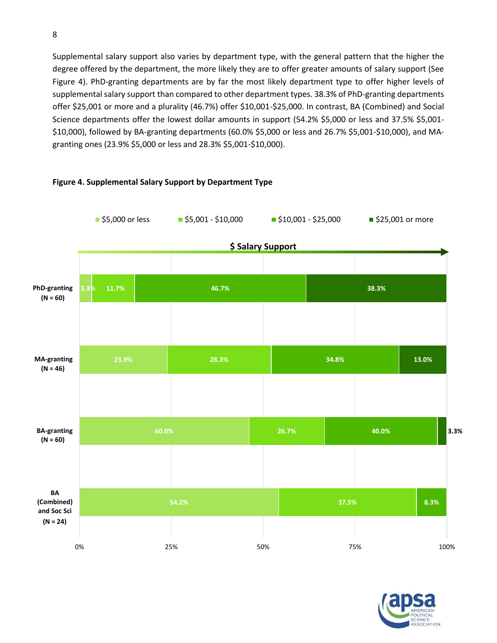Supplemental salary support also varies by department type, with the general pattern that the higher the degree offered by the department, the more likely they are to offer greater amounts of salary support (See Figure 4). PhD-granting departments are by far the most likely department type to offer higher levels of supplemental salary support than compared to other department types. 38.3% of PhD-granting departments offer \$25,001 or more and a plurality (46.7%) offer \$10,001-\$25,000. In contrast, BA (Combined) and Social Science departments offer the lowest dollar amounts in support (54.2% \$5,000 or less and 37.5% \$5,001- \$10,000), followed by BA-granting departments (60.0% \$5,000 or less and 26.7% \$5,001-\$10,000), and MAgranting ones (23.9% \$5,000 or less and 28.3% \$5,001-\$10,000).

![](_page_8_Figure_1.jpeg)

#### **Figure 4. Supplemental Salary Support by Department Type**

![](_page_8_Picture_3.jpeg)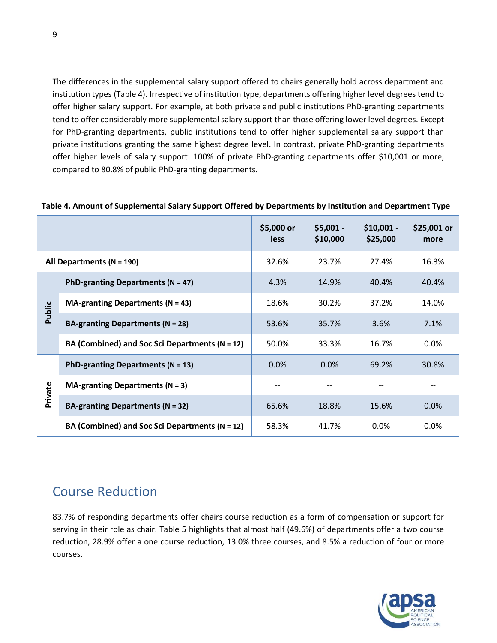The differences in the supplemental salary support offered to chairs generally hold across department and institution types (Table 4). Irrespective of institution type, departments offering higher level degrees tend to offer higher salary support. For example, at both private and public institutions PhD-granting departments tend to offer considerably more supplemental salary support than those offering lower level degrees. Except for PhD-granting departments, public institutions tend to offer higher supplemental salary support than private institutions granting the same highest degree level. In contrast, private PhD-granting departments offer higher levels of salary support: 100% of private PhD-granting departments offer \$10,001 or more, compared to 80.8% of public PhD-granting departments.

|                               |                                                    | \$5,000 or<br>less | $$5,001 -$<br>\$10,000 | $$10,001 -$<br>\$25,000 | \$25,001 or<br>more |
|-------------------------------|----------------------------------------------------|--------------------|------------------------|-------------------------|---------------------|
| All Departments ( $N = 190$ ) |                                                    | 32.6%              | 23.7%                  | 27.4%                   | 16.3%               |
|                               | PhD-granting Departments ( $N = 47$ )              | 4.3%               | 14.9%                  | 40.4%                   | 40.4%               |
| Public                        | <b>MA-granting Departments (N = 43)</b>            | 18.6%              | 30.2%                  | 37.2%                   | 14.0%               |
|                               | <b>BA-granting Departments (N = 28)</b>            | 53.6%              | 35.7%                  | 3.6%                    | 7.1%                |
|                               | BA (Combined) and Soc Sci Departments (N = 12)     | 50.0%              | 33.3%                  | 16.7%                   | 0.0%                |
|                               | PhD-granting Departments ( $N = 13$ )              | $0.0\%$            | 0.0%                   | 69.2%                   | 30.8%               |
| Private                       | MA-granting Departments ( $N = 3$ )                | $- -$              |                        |                         |                     |
|                               | BA-granting Departments ( $N = 32$ )               | 65.6%              | 18.8%                  | 15.6%                   | $0.0\%$             |
|                               | BA (Combined) and Soc Sci Departments ( $N = 12$ ) | 58.3%              | 41.7%                  | $0.0\%$                 | 0.0%                |

#### **Table 4. Amount of Supplemental Salary Support Offered by Departments by Institution and Department Type**

## Course Reduction

83.7% of responding departments offer chairs course reduction as a form of compensation or support for serving in their role as chair. Table 5 highlights that almost half (49.6%) of departments offer a two course reduction, 28.9% offer a one course reduction, 13.0% three courses, and 8.5% a reduction of four or more courses.

![](_page_9_Picture_5.jpeg)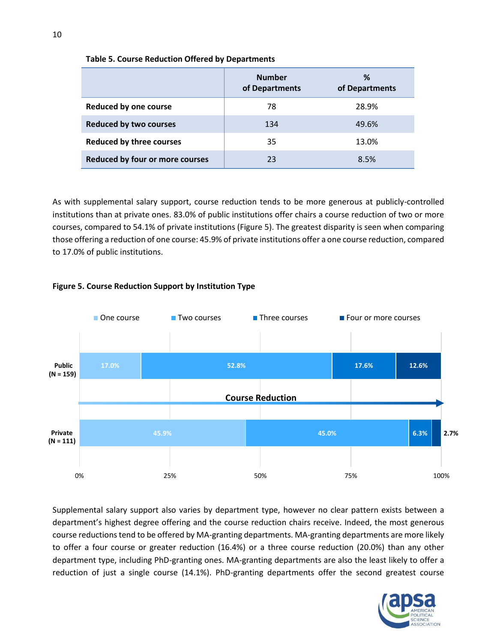|                                 | <b>Number</b><br>of Departments | %<br>of Departments |
|---------------------------------|---------------------------------|---------------------|
| <b>Reduced by one course</b>    | 78                              | 28.9%               |
| <b>Reduced by two courses</b>   | 134                             | 49.6%               |
| <b>Reduced by three courses</b> | 35                              | 13.0%               |
| Reduced by four or more courses | 23                              | 8.5%                |

#### **Table 5. Course Reduction Offered by Departments**

As with supplemental salary support, course reduction tends to be more generous at publicly-controlled institutions than at private ones. 83.0% of public institutions offer chairs a course reduction of two or more courses, compared to 54.1% of private institutions (Figure 5). The greatest disparity is seen when comparing those offering a reduction of one course: 45.9% of private institutions offer a one course reduction, compared to 17.0% of public institutions.

![](_page_10_Figure_3.jpeg)

#### **Figure 5. Course Reduction Support by Institution Type**

Supplemental salary support also varies by department type, however no clear pattern exists between a department's highest degree offering and the course reduction chairs receive. Indeed, the most generous course reductions tend to be offered by MA-granting departments. MA-granting departments are more likely to offer a four course or greater reduction (16.4%) or a three course reduction (20.0%) than any other department type, including PhD-granting ones. MA-granting departments are also the least likely to offer a reduction of just a single course (14.1%). PhD-granting departments offer the second greatest course

![](_page_10_Picture_6.jpeg)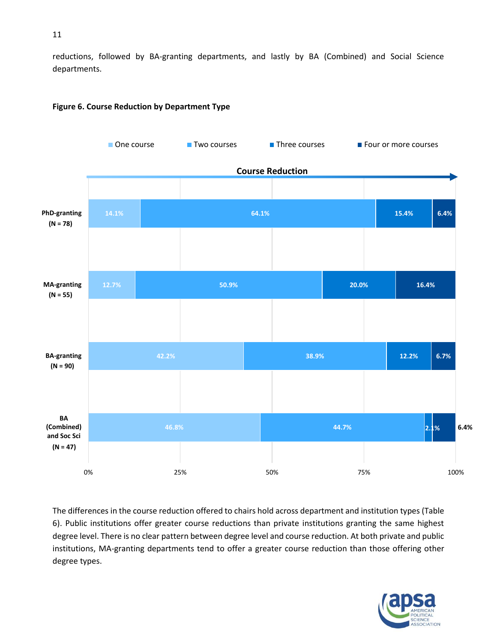reductions, followed by BA-granting departments, and lastly by BA (Combined) and Social Science departments.

![](_page_11_Figure_1.jpeg)

#### **Figure 6. Course Reduction by Department Type**

The differences in the course reduction offered to chairs hold across department and institution types (Table 6). Public institutions offer greater course reductions than private institutions granting the same highest degree level. There is no clear pattern between degree level and course reduction. At both private and public institutions, MA-granting departments tend to offer a greater course reduction than those offering other degree types.

![](_page_11_Picture_4.jpeg)